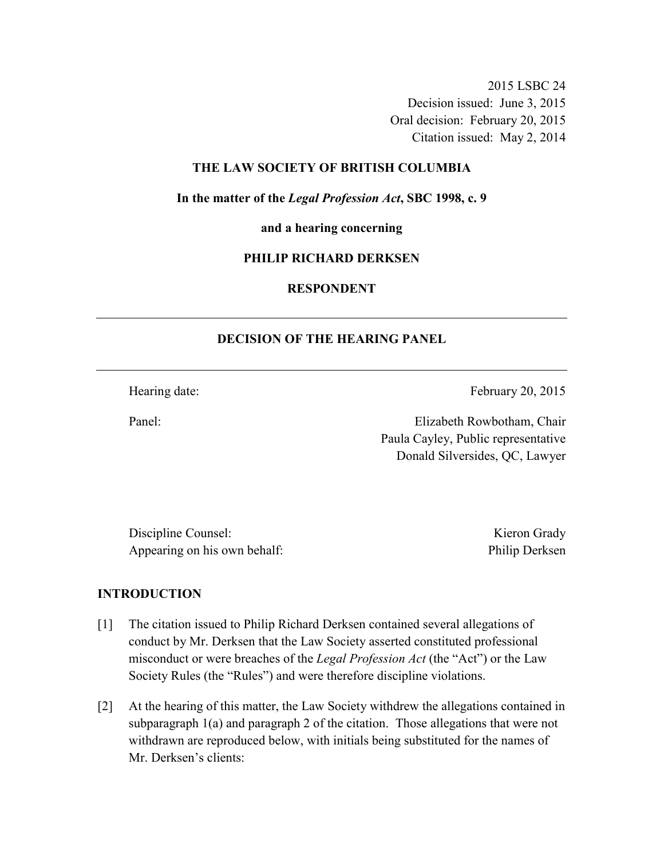2015 LSBC 24 Decision issued: June 3, 2015 Oral decision: February 20, 2015 Citation issued: May 2, 2014

### **THE LAW SOCIETY OF BRITISH COLUMBIA**

**In the matter of the** *Legal Profession Act***, SBC 1998, c. 9** 

**and a hearing concerning** 

#### **PHILIP RICHARD DERKSEN**

# **RESPONDENT**

## **DECISION OF THE HEARING PANEL**

Hearing date: February 20, 2015

Panel: Elizabeth Rowbotham, Chair Paula Cayley, Public representative Donald Silversides, QC, Lawyer

Discipline Counsel: Kieron Grady Appearing on his own behalf: Philip Derksen

#### **INTRODUCTION**

- [1] The citation issued to Philip Richard Derksen contained several allegations of conduct by Mr. Derksen that the Law Society asserted constituted professional misconduct or were breaches of the *Legal Profession Act* (the "Act") or the Law Society Rules (the "Rules") and were therefore discipline violations.
- [2] At the hearing of this matter, the Law Society withdrew the allegations contained in subparagraph 1(a) and paragraph 2 of the citation. Those allegations that were not withdrawn are reproduced below, with initials being substituted for the names of Mr. Derksen's clients: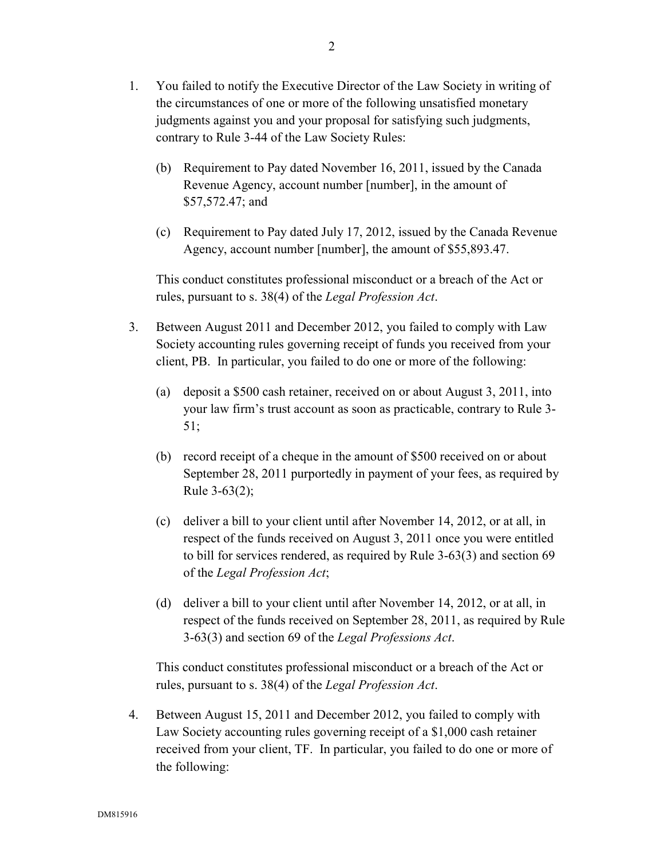- (b) Requirement to Pay dated November 16, 2011, issued by the Canada Revenue Agency, account number [number], in the amount of \$57,572.47; and
- (c) Requirement to Pay dated July 17, 2012, issued by the Canada Revenue Agency, account number [number], the amount of \$55,893.47.

This conduct constitutes professional misconduct or a breach of the Act or rules, pursuant to s. 38(4) of the *Legal Profession Act*.

- 3. Between August 2011 and December 2012, you failed to comply with Law Society accounting rules governing receipt of funds you received from your client, PB. In particular, you failed to do one or more of the following:
	- (a) deposit a \$500 cash retainer, received on or about August 3, 2011, into your law firm's trust account as soon as practicable, contrary to Rule 3- 51;
	- (b) record receipt of a cheque in the amount of \$500 received on or about September 28, 2011 purportedly in payment of your fees, as required by Rule 3-63(2);
	- (c) deliver a bill to your client until after November 14, 2012, or at all, in respect of the funds received on August 3, 2011 once you were entitled to bill for services rendered, as required by Rule 3-63(3) and section 69 of the *Legal Profession Act*;
	- (d) deliver a bill to your client until after November 14, 2012, or at all, in respect of the funds received on September 28, 2011, as required by Rule 3-63(3) and section 69 of the *Legal Professions Act*.

This conduct constitutes professional misconduct or a breach of the Act or rules, pursuant to s. 38(4) of the *Legal Profession Act*.

4. Between August 15, 2011 and December 2012, you failed to comply with Law Society accounting rules governing receipt of a \$1,000 cash retainer received from your client, TF. In particular, you failed to do one or more of the following: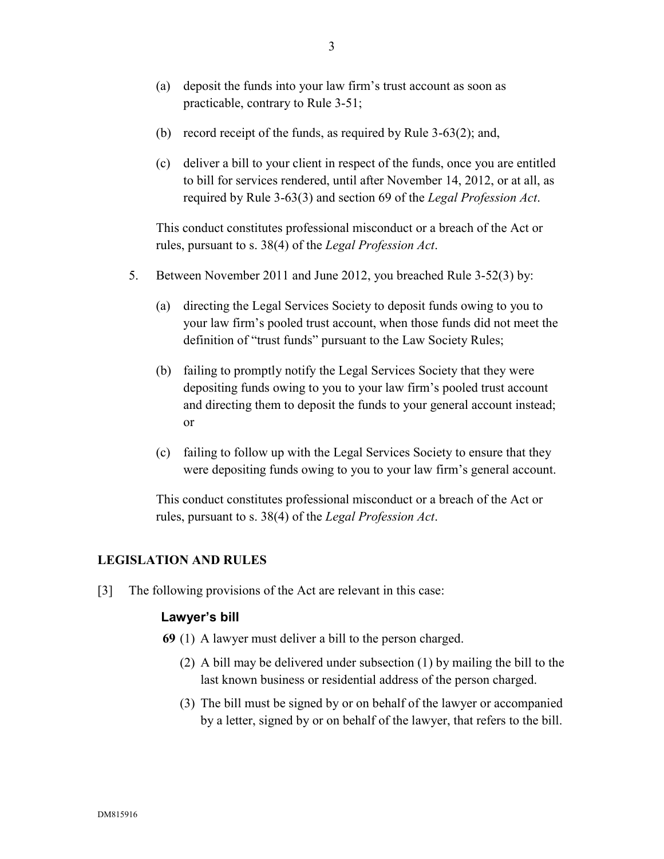- (a) deposit the funds into your law firm's trust account as soon as practicable, contrary to Rule 3-51;
- (b) record receipt of the funds, as required by Rule 3-63(2); and,
- (c) deliver a bill to your client in respect of the funds, once you are entitled to bill for services rendered, until after November 14, 2012, or at all, as required by Rule 3-63(3) and section 69 of the *Legal Profession Act*.

This conduct constitutes professional misconduct or a breach of the Act or rules, pursuant to s. 38(4) of the *Legal Profession Act*.

- 5. Between November 2011 and June 2012, you breached Rule 3-52(3) by:
	- (a) directing the Legal Services Society to deposit funds owing to you to your law firm's pooled trust account, when those funds did not meet the definition of "trust funds" pursuant to the Law Society Rules;
	- (b) failing to promptly notify the Legal Services Society that they were depositing funds owing to you to your law firm's pooled trust account and directing them to deposit the funds to your general account instead; or
	- (c) failing to follow up with the Legal Services Society to ensure that they were depositing funds owing to you to your law firm's general account.

This conduct constitutes professional misconduct or a breach of the Act or rules, pursuant to s. 38(4) of the *Legal Profession Act*.

## **LEGISLATION AND RULES**

[3] The following provisions of the Act are relevant in this case:

### **Lawyer's bill**

- **69** (1) A lawyer must deliver a bill to the person charged.
	- (2) A bill may be delivered under subsection (1) by mailing the bill to the last known business or residential address of the person charged.
	- (3) The bill must be signed by or on behalf of the lawyer or accompanied by a letter, signed by or on behalf of the lawyer, that refers to the bill.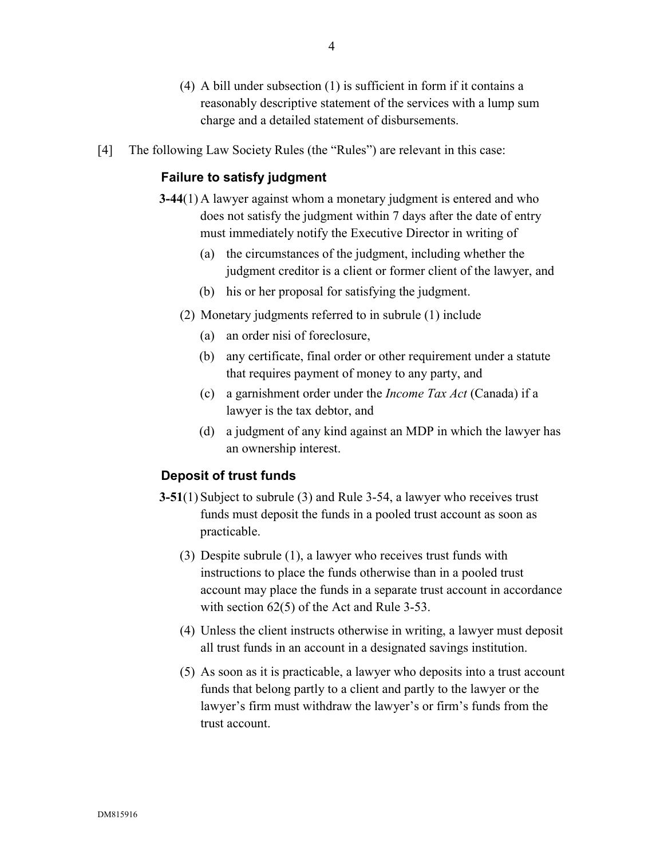- (4) A bill under subsection (1) is sufficient in form if it contains a reasonably descriptive statement of the services with a lump sum charge and a detailed statement of disbursements.
- [4] The following Law Society Rules (the "Rules") are relevant in this case:

## **Failure to satisfy judgment**

- **3-44**(1) A lawyer against whom a monetary judgment is entered and who does not satisfy the judgment within 7 days after the date of entry must immediately notify the Executive Director in writing of
	- (a) the circumstances of the judgment, including whether the judgment creditor is a client or former client of the lawyer, and
	- (b) his or her proposal for satisfying the judgment.
	- (2) Monetary judgments referred to in subrule (1) include
		- (a) an order nisi of foreclosure,
		- (b) any certificate, final order or other requirement under a statute that requires payment of money to any party, and
		- (c) a garnishment order under the *Income Tax Act* (Canada) if a lawyer is the tax debtor, and
		- (d) a judgment of any kind against an MDP in which the lawyer has an ownership interest.

### **Deposit of trust funds**

- **3-51**(1) Subject to subrule (3) and Rule 3-54, a lawyer who receives trust funds must deposit the funds in a pooled trust account as soon as practicable.
	- (3) Despite subrule (1), a lawyer who receives trust funds with instructions to place the funds otherwise than in a pooled trust account may place the funds in a separate trust account in accordance with section 62(5) of the Act and Rule 3-53.
	- (4) Unless the client instructs otherwise in writing, a lawyer must deposit all trust funds in an account in a designated savings institution.
	- (5) As soon as it is practicable, a lawyer who deposits into a trust account funds that belong partly to a client and partly to the lawyer or the lawyer's firm must withdraw the lawyer's or firm's funds from the trust account.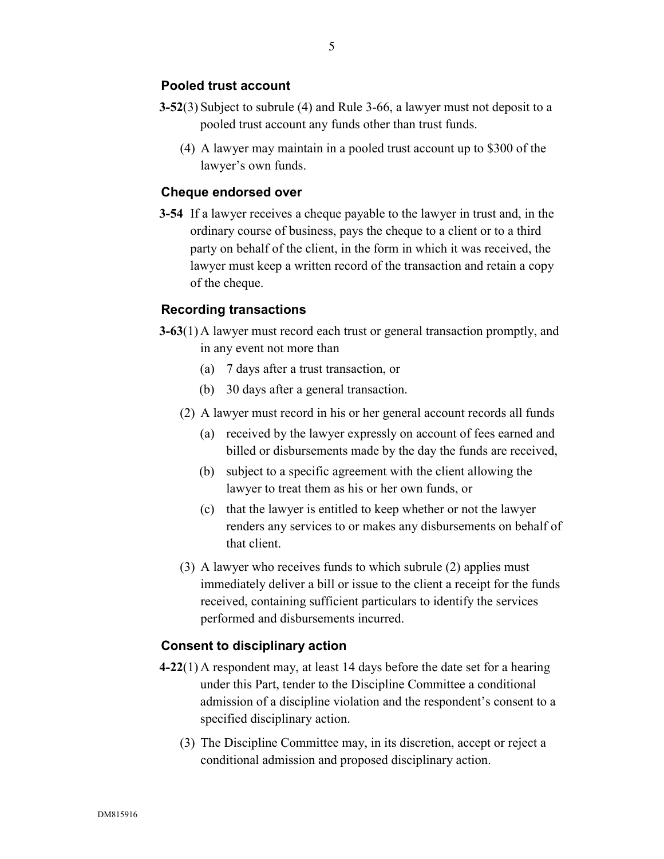## **Pooled trust account**

- **3-52**(3) Subject to subrule (4) and Rule 3-66, a lawyer must not deposit to a pooled trust account any funds other than trust funds.
	- (4) A lawyer may maintain in a pooled trust account up to \$300 of the lawyer's own funds.

## **Cheque endorsed over**

**3-54** If a lawyer receives a cheque payable to the lawyer in trust and, in the ordinary course of business, pays the cheque to a client or to a third party on behalf of the client, in the form in which it was received, the lawyer must keep a written record of the transaction and retain a copy of the cheque.

### **Recording transactions**

- **3-63**(1) A lawyer must record each trust or general transaction promptly, and in any event not more than
	- (a) 7 days after a trust transaction, or
	- (b) 30 days after a general transaction.
	- (2) A lawyer must record in his or her general account records all funds
		- (a) received by the lawyer expressly on account of fees earned and billed or disbursements made by the day the funds are received,
		- (b) subject to a specific agreement with the client allowing the lawyer to treat them as his or her own funds, or
		- (c) that the lawyer is entitled to keep whether or not the lawyer renders any services to or makes any disbursements on behalf of that client.
	- (3) A lawyer who receives funds to which subrule (2) applies must immediately deliver a bill or issue to the client a receipt for the funds received, containing sufficient particulars to identify the services performed and disbursements incurred.

#### **Consent to disciplinary action**

- **4-22**(1) A respondent may, at least 14 days before the date set for a hearing under this Part, tender to the Discipline Committee a conditional admission of a discipline violation and the respondent's consent to a specified disciplinary action.
	- (3) The Discipline Committee may, in its discretion, accept or reject a conditional admission and proposed disciplinary action.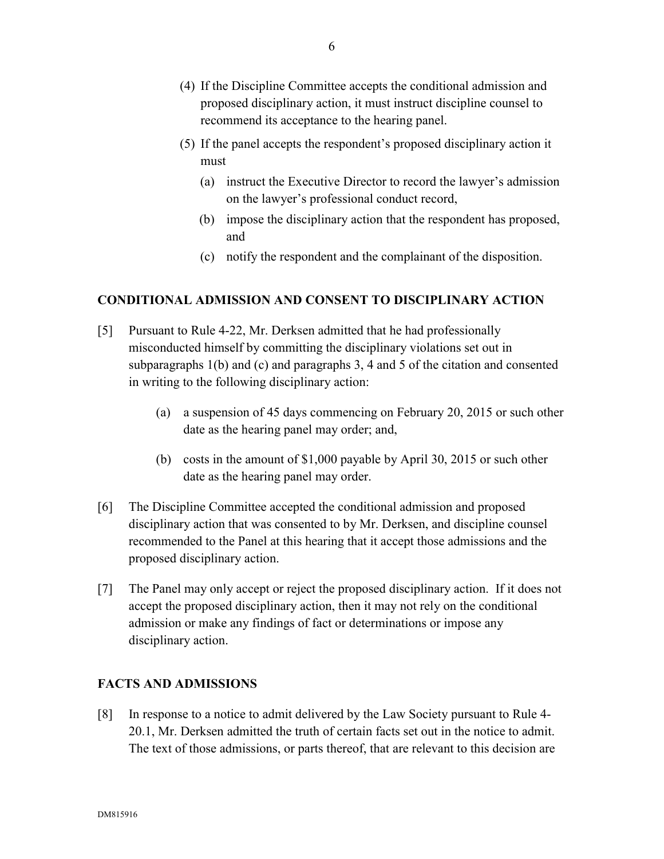- (4) If the Discipline Committee accepts the conditional admission and proposed disciplinary action, it must instruct discipline counsel to recommend its acceptance to the hearing panel.
- (5) If the panel accepts the respondent's proposed disciplinary action it must
	- (a) instruct the Executive Director to record the lawyer's admission on the lawyer's professional conduct record,
	- (b) impose the disciplinary action that the respondent has proposed, and
	- (c) notify the respondent and the complainant of the disposition.

## **CONDITIONAL ADMISSION AND CONSENT TO DISCIPLINARY ACTION**

- [5] Pursuant to Rule 4-22, Mr. Derksen admitted that he had professionally misconducted himself by committing the disciplinary violations set out in subparagraphs 1(b) and (c) and paragraphs 3, 4 and 5 of the citation and consented in writing to the following disciplinary action:
	- (a) a suspension of 45 days commencing on February 20, 2015 or such other date as the hearing panel may order; and,
	- (b) costs in the amount of \$1,000 payable by April 30, 2015 or such other date as the hearing panel may order.
- [6] The Discipline Committee accepted the conditional admission and proposed disciplinary action that was consented to by Mr. Derksen, and discipline counsel recommended to the Panel at this hearing that it accept those admissions and the proposed disciplinary action.
- [7] The Panel may only accept or reject the proposed disciplinary action. If it does not accept the proposed disciplinary action, then it may not rely on the conditional admission or make any findings of fact or determinations or impose any disciplinary action.

## **FACTS AND ADMISSIONS**

[8] In response to a notice to admit delivered by the Law Society pursuant to Rule 4- 20.1, Mr. Derksen admitted the truth of certain facts set out in the notice to admit. The text of those admissions, or parts thereof, that are relevant to this decision are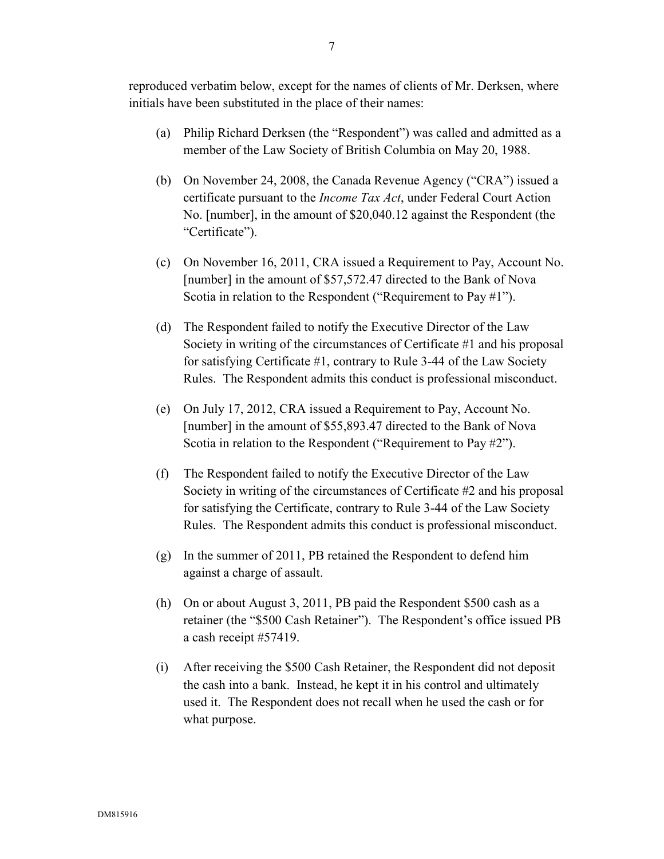reproduced verbatim below, except for the names of clients of Mr. Derksen, where initials have been substituted in the place of their names:

- (a) Philip Richard Derksen (the "Respondent") was called and admitted as a member of the Law Society of British Columbia on May 20, 1988.
- (b) On November 24, 2008, the Canada Revenue Agency ("CRA") issued a certificate pursuant to the *Income Tax Act*, under Federal Court Action No. [number], in the amount of \$20,040.12 against the Respondent (the "Certificate").
- (c) On November 16, 2011, CRA issued a Requirement to Pay, Account No. [number] in the amount of \$57,572.47 directed to the Bank of Nova Scotia in relation to the Respondent ("Requirement to Pay #1").
- (d) The Respondent failed to notify the Executive Director of the Law Society in writing of the circumstances of Certificate #1 and his proposal for satisfying Certificate #1, contrary to Rule 3-44 of the Law Society Rules. The Respondent admits this conduct is professional misconduct.
- (e) On July 17, 2012, CRA issued a Requirement to Pay, Account No. [number] in the amount of \$55,893.47 directed to the Bank of Nova Scotia in relation to the Respondent ("Requirement to Pay #2").
- (f) The Respondent failed to notify the Executive Director of the Law Society in writing of the circumstances of Certificate #2 and his proposal for satisfying the Certificate, contrary to Rule 3-44 of the Law Society Rules. The Respondent admits this conduct is professional misconduct.
- (g) In the summer of 2011, PB retained the Respondent to defend him against a charge of assault.
- (h) On or about August 3, 2011, PB paid the Respondent \$500 cash as a retainer (the "\$500 Cash Retainer"). The Respondent's office issued PB a cash receipt #57419.
- (i) After receiving the \$500 Cash Retainer, the Respondent did not deposit the cash into a bank. Instead, he kept it in his control and ultimately used it. The Respondent does not recall when he used the cash or for what purpose.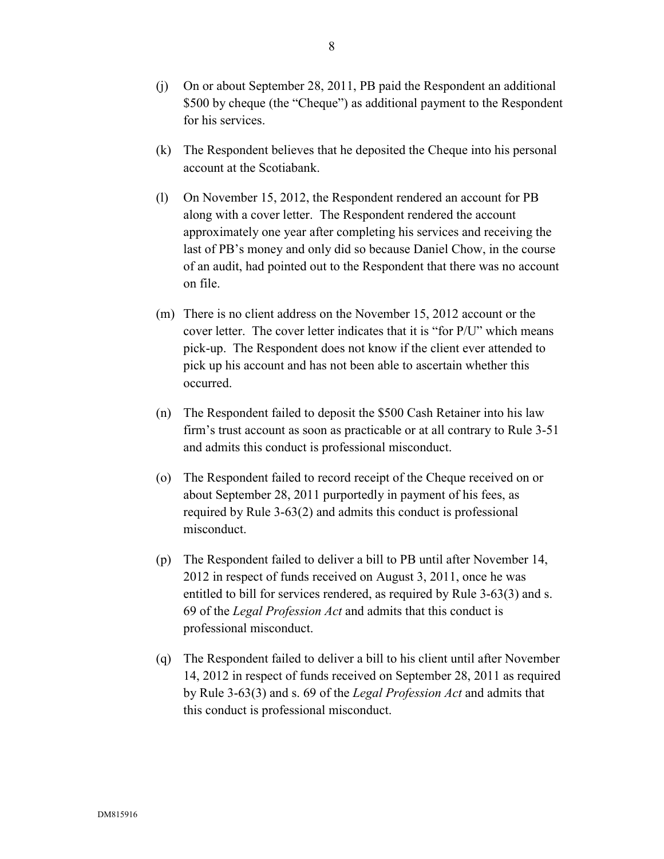- (k) The Respondent believes that he deposited the Cheque into his personal account at the Scotiabank.
- (l) On November 15, 2012, the Respondent rendered an account for PB along with a cover letter. The Respondent rendered the account approximately one year after completing his services and receiving the last of PB's money and only did so because Daniel Chow, in the course of an audit, had pointed out to the Respondent that there was no account on file.
- (m) There is no client address on the November 15, 2012 account or the cover letter. The cover letter indicates that it is "for P/U" which means pick-up. The Respondent does not know if the client ever attended to pick up his account and has not been able to ascertain whether this occurred.
- (n) The Respondent failed to deposit the \$500 Cash Retainer into his law firm's trust account as soon as practicable or at all contrary to Rule 3-51 and admits this conduct is professional misconduct.
- (o) The Respondent failed to record receipt of the Cheque received on or about September 28, 2011 purportedly in payment of his fees, as required by Rule 3-63(2) and admits this conduct is professional misconduct.
- (p) The Respondent failed to deliver a bill to PB until after November 14, 2012 in respect of funds received on August 3, 2011, once he was entitled to bill for services rendered, as required by Rule 3-63(3) and s. 69 of the *Legal Profession Act* and admits that this conduct is professional misconduct.
- (q) The Respondent failed to deliver a bill to his client until after November 14, 2012 in respect of funds received on September 28, 2011 as required by Rule 3-63(3) and s. 69 of the *Legal Profession Act* and admits that this conduct is professional misconduct.

for his services.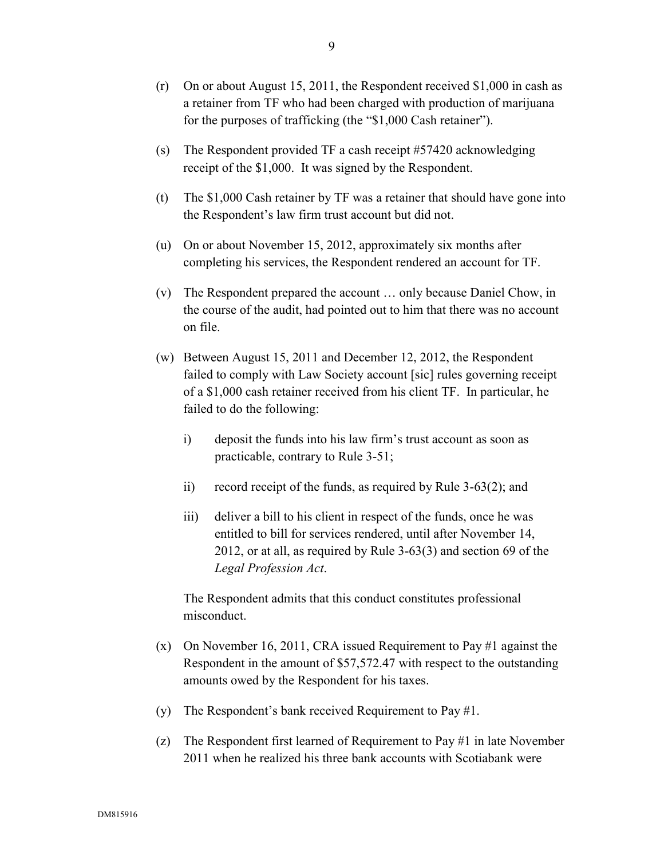- (r) On or about August 15, 2011, the Respondent received \$1,000 in cash as a retainer from TF who had been charged with production of marijuana for the purposes of trafficking (the "\$1,000 Cash retainer").
- (s) The Respondent provided TF a cash receipt #57420 acknowledging receipt of the \$1,000. It was signed by the Respondent.
- (t) The \$1,000 Cash retainer by TF was a retainer that should have gone into the Respondent's law firm trust account but did not.
- (u) On or about November 15, 2012, approximately six months after completing his services, the Respondent rendered an account for TF.
- (v) The Respondent prepared the account … only because Daniel Chow, in the course of the audit, had pointed out to him that there was no account on file.
- (w) Between August 15, 2011 and December 12, 2012, the Respondent failed to comply with Law Society account [sic] rules governing receipt of a \$1,000 cash retainer received from his client TF. In particular, he failed to do the following:
	- i) deposit the funds into his law firm's trust account as soon as practicable, contrary to Rule 3-51;
	- ii) record receipt of the funds, as required by Rule 3-63(2); and
	- iii) deliver a bill to his client in respect of the funds, once he was entitled to bill for services rendered, until after November 14, 2012, or at all, as required by Rule 3-63(3) and section 69 of the *Legal Profession Act*.

The Respondent admits that this conduct constitutes professional misconduct.

- (x) On November 16, 2011, CRA issued Requirement to Pay #1 against the Respondent in the amount of \$57,572.47 with respect to the outstanding amounts owed by the Respondent for his taxes.
- (y) The Respondent's bank received Requirement to Pay #1.
- (z) The Respondent first learned of Requirement to Pay #1 in late November 2011 when he realized his three bank accounts with Scotiabank were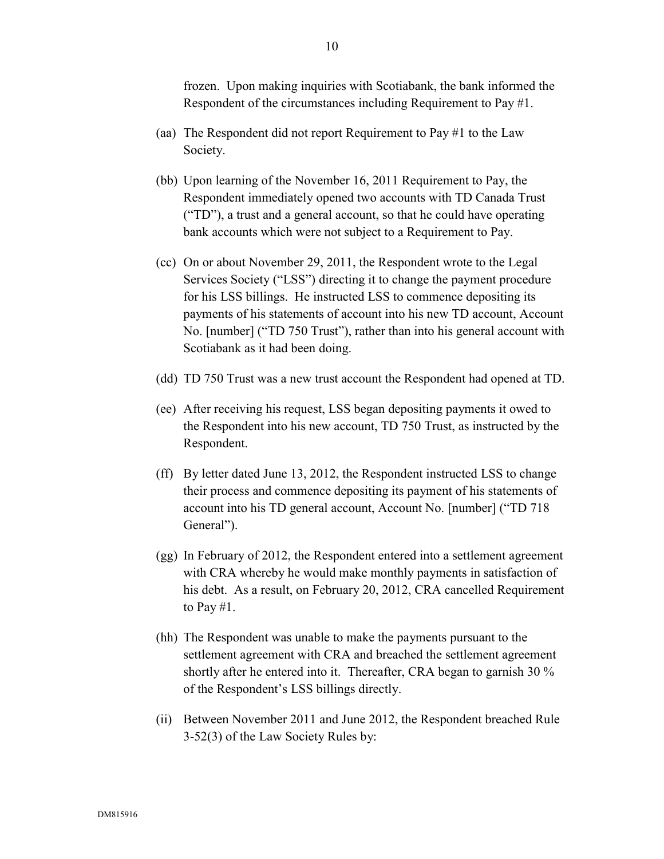frozen. Upon making inquiries with Scotiabank, the bank informed the Respondent of the circumstances including Requirement to Pay #1.

- (aa) The Respondent did not report Requirement to Pay #1 to the Law Society.
- (bb) Upon learning of the November 16, 2011 Requirement to Pay, the Respondent immediately opened two accounts with TD Canada Trust ("TD"), a trust and a general account, so that he could have operating bank accounts which were not subject to a Requirement to Pay.
- (cc) On or about November 29, 2011, the Respondent wrote to the Legal Services Society ("LSS") directing it to change the payment procedure for his LSS billings. He instructed LSS to commence depositing its payments of his statements of account into his new TD account, Account No. [number] ("TD 750 Trust"), rather than into his general account with Scotiabank as it had been doing.
- (dd) TD 750 Trust was a new trust account the Respondent had opened at TD.
- (ee) After receiving his request, LSS began depositing payments it owed to the Respondent into his new account, TD 750 Trust, as instructed by the Respondent.
- (ff) By letter dated June 13, 2012, the Respondent instructed LSS to change their process and commence depositing its payment of his statements of account into his TD general account, Account No. [number] ("TD 718 General").
- (gg) In February of 2012, the Respondent entered into a settlement agreement with CRA whereby he would make monthly payments in satisfaction of his debt. As a result, on February 20, 2012, CRA cancelled Requirement to Pay  $#1$ .
- (hh) The Respondent was unable to make the payments pursuant to the settlement agreement with CRA and breached the settlement agreement shortly after he entered into it. Thereafter, CRA began to garnish 30 % of the Respondent's LSS billings directly.
- (ii) Between November 2011 and June 2012, the Respondent breached Rule 3-52(3) of the Law Society Rules by: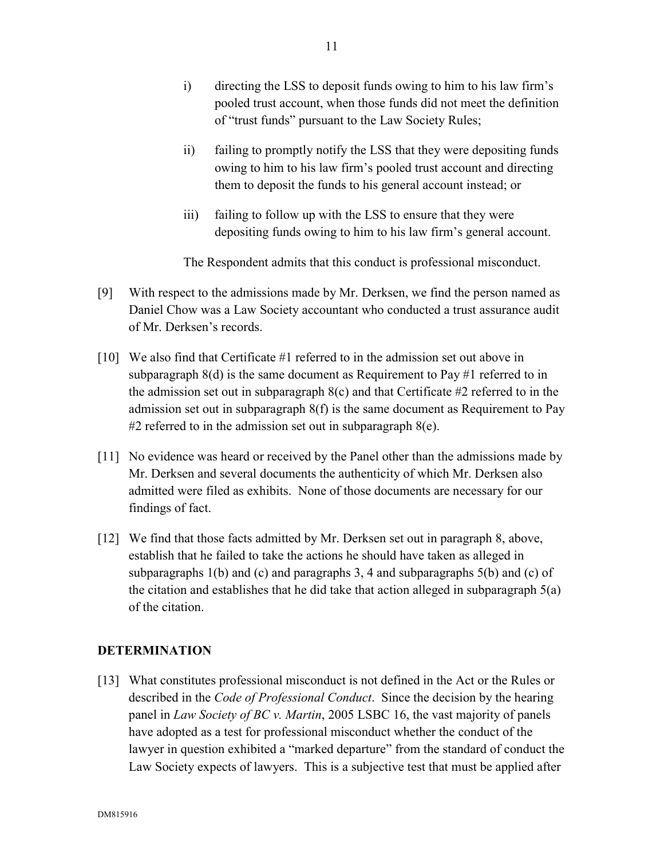- i) directing the LSS to deposit funds owing to him to his law firm's pooled trust account, when those funds did not meet the definition of "trust funds" pursuant to the Law Society Rules;
- ii) failing to promptly notify the LSS that they were depositing funds owing to him to his law firm's pooled trust account and directing them to deposit the funds to his general account instead; or
- iii) failing to follow up with the LSS to ensure that they were depositing funds owing to him to his law firm's general account.

The Respondent admits that this conduct is professional misconduct.

- [9] With respect to the admissions made by Mr. Derksen, we find the person named as Daniel Chow was a Law Society accountant who conducted a trust assurance audit of Mr. Derksen's records.
- [10] We also find that Certificate #1 referred to in the admission set out above in subparagraph  $8(d)$  is the same document as Requirement to Pay #1 referred to in the admission set out in subparagraph  $8(c)$  and that Certificate #2 referred to in the admission set out in subparagraph 8(f) is the same document as Requirement to Pay #2 referred to in the admission set out in subparagraph  $8(e)$ .
- [11] No evidence was heard or received by the Panel other than the admissions made by Mr. Derksen and several documents the authenticity of which Mr. Derksen also admitted were filed as exhibits. None of those documents are necessary for our findings of fact.
- [12] We find that those facts admitted by Mr. Derksen set out in paragraph 8, above, establish that he failed to take the actions he should have taken as alleged in subparagraphs 1(b) and (c) and paragraphs 3, 4 and subparagraphs 5(b) and (c) of the citation and establishes that he did take that action alleged in subparagraph 5(a) of the citation.

# **DETERMINATION**

[13] What constitutes professional misconduct is not defined in the Act or the Rules or described in the *Code of Professional Conduct*. Since the decision by the hearing panel in *Law Society of BC v. Martin*, 2005 LSBC 16, the vast majority of panels have adopted as a test for professional misconduct whether the conduct of the lawyer in question exhibited a "marked departure" from the standard of conduct the Law Society expects of lawyers. This is a subjective test that must be applied after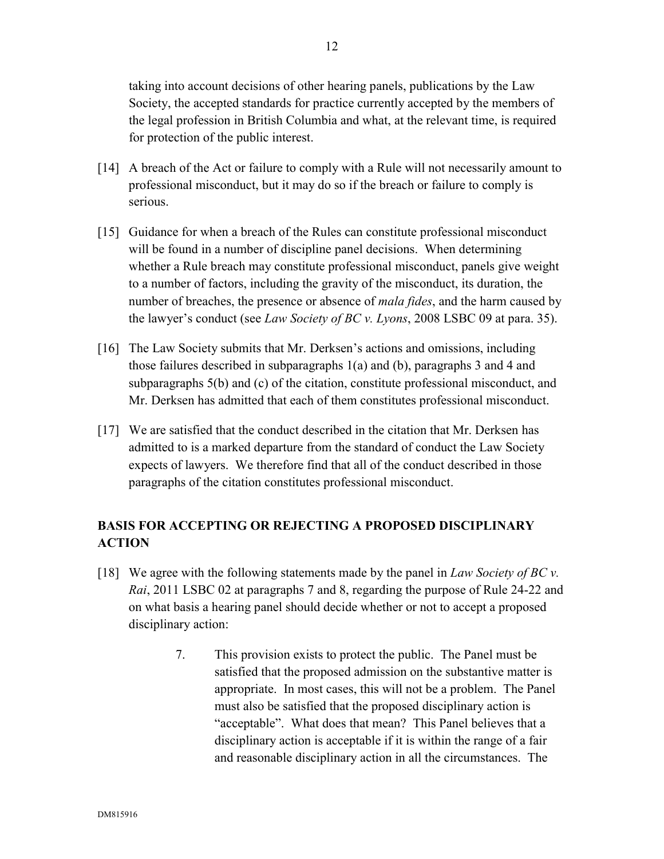taking into account decisions of other hearing panels, publications by the Law Society, the accepted standards for practice currently accepted by the members of the legal profession in British Columbia and what, at the relevant time, is required for protection of the public interest.

- [14] A breach of the Act or failure to comply with a Rule will not necessarily amount to professional misconduct, but it may do so if the breach or failure to comply is serious.
- [15] Guidance for when a breach of the Rules can constitute professional misconduct will be found in a number of discipline panel decisions. When determining whether a Rule breach may constitute professional misconduct, panels give weight to a number of factors, including the gravity of the misconduct, its duration, the number of breaches, the presence or absence of *mala fides*, and the harm caused by the lawyer's conduct (see *Law Society of BC v. Lyons*, 2008 LSBC 09 at para. 35).
- [16] The Law Society submits that Mr. Derksen's actions and omissions, including those failures described in subparagraphs 1(a) and (b), paragraphs 3 and 4 and subparagraphs 5(b) and (c) of the citation, constitute professional misconduct, and Mr. Derksen has admitted that each of them constitutes professional misconduct.
- [17] We are satisfied that the conduct described in the citation that Mr. Derksen has admitted to is a marked departure from the standard of conduct the Law Society expects of lawyers. We therefore find that all of the conduct described in those paragraphs of the citation constitutes professional misconduct.

# **BASIS FOR ACCEPTING OR REJECTING A PROPOSED DISCIPLINARY ACTION**

- [18] We agree with the following statements made by the panel in *Law Society of BC v. Rai*, 2011 LSBC 02 at paragraphs 7 and 8, regarding the purpose of Rule 24-22 and on what basis a hearing panel should decide whether or not to accept a proposed disciplinary action:
	- 7. This provision exists to protect the public. The Panel must be satisfied that the proposed admission on the substantive matter is appropriate. In most cases, this will not be a problem. The Panel must also be satisfied that the proposed disciplinary action is "acceptable". What does that mean? This Panel believes that a disciplinary action is acceptable if it is within the range of a fair and reasonable disciplinary action in all the circumstances. The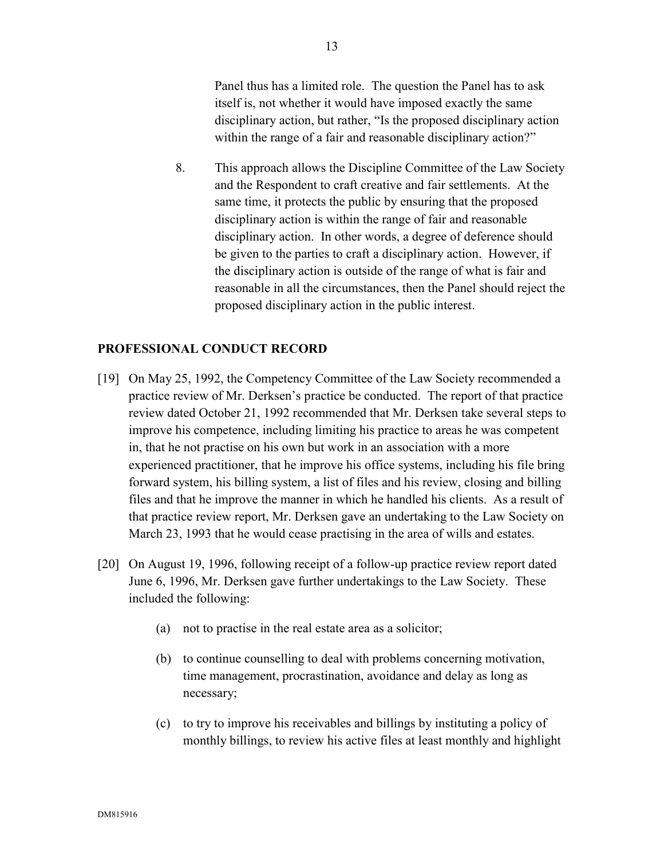Panel thus has a limited role. The question the Panel has to ask itself is, not whether it would have imposed exactly the same disciplinary action, but rather, "Is the proposed disciplinary action within the range of a fair and reasonable disciplinary action?"

8. This approach allows the Discipline Committee of the Law Society and the Respondent to craft creative and fair settlements. At the same time, it protects the public by ensuring that the proposed disciplinary action is within the range of fair and reasonable disciplinary action. In other words, a degree of deference should be given to the parties to craft a disciplinary action. However, if the disciplinary action is outside of the range of what is fair and reasonable in all the circumstances, then the Panel should reject the proposed disciplinary action in the public interest.

## **PROFESSIONAL CONDUCT RECORD**

- [19] On May 25, 1992, the Competency Committee of the Law Society recommended a practice review of Mr. Derksen's practice be conducted. The report of that practice review dated October 21, 1992 recommended that Mr. Derksen take several steps to improve his competence, including limiting his practice to areas he was competent in, that he not practise on his own but work in an association with a more experienced practitioner, that he improve his office systems, including his file bring forward system, his billing system, a list of files and his review, closing and billing files and that he improve the manner in which he handled his clients. As a result of that practice review report, Mr. Derksen gave an undertaking to the Law Society on March 23, 1993 that he would cease practising in the area of wills and estates.
- [20] On August 19, 1996, following receipt of a follow-up practice review report dated June 6, 1996, Mr. Derksen gave further undertakings to the Law Society. These included the following:
	- (a) not to practise in the real estate area as a solicitor;
	- (b) to continue counselling to deal with problems concerning motivation, time management, procrastination, avoidance and delay as long as necessary;
	- (c) to try to improve his receivables and billings by instituting a policy of monthly billings, to review his active files at least monthly and highlight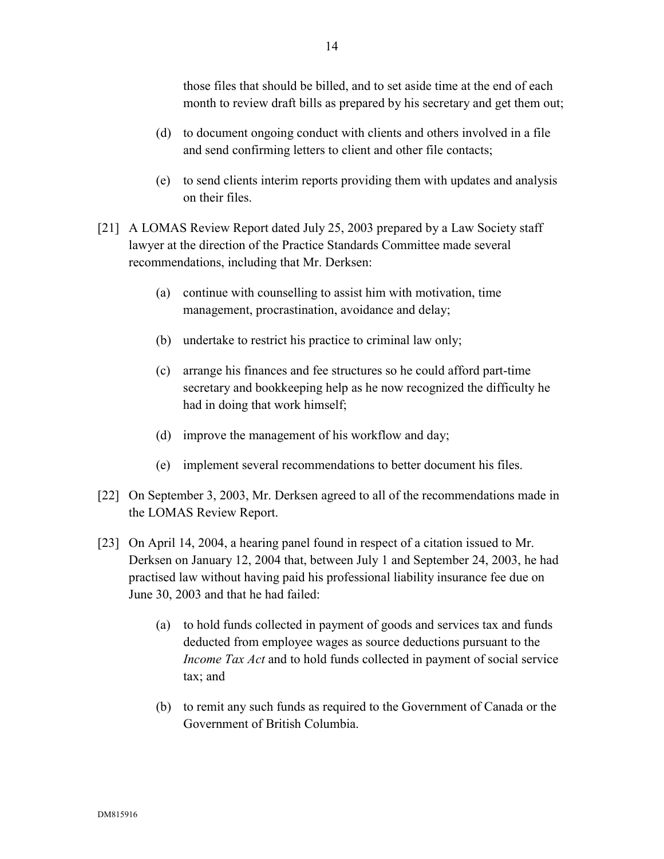those files that should be billed, and to set aside time at the end of each month to review draft bills as prepared by his secretary and get them out;

- (d) to document ongoing conduct with clients and others involved in a file and send confirming letters to client and other file contacts;
- (e) to send clients interim reports providing them with updates and analysis on their files.
- [21] A LOMAS Review Report dated July 25, 2003 prepared by a Law Society staff lawyer at the direction of the Practice Standards Committee made several recommendations, including that Mr. Derksen:
	- (a) continue with counselling to assist him with motivation, time management, procrastination, avoidance and delay;
	- (b) undertake to restrict his practice to criminal law only;
	- (c) arrange his finances and fee structures so he could afford part-time secretary and bookkeeping help as he now recognized the difficulty he had in doing that work himself;
	- (d) improve the management of his workflow and day;
	- (e) implement several recommendations to better document his files.
- [22] On September 3, 2003, Mr. Derksen agreed to all of the recommendations made in the LOMAS Review Report.
- [23] On April 14, 2004, a hearing panel found in respect of a citation issued to Mr. Derksen on January 12, 2004 that, between July 1 and September 24, 2003, he had practised law without having paid his professional liability insurance fee due on June 30, 2003 and that he had failed:
	- (a) to hold funds collected in payment of goods and services tax and funds deducted from employee wages as source deductions pursuant to the *Income Tax Act* and to hold funds collected in payment of social service tax; and
	- (b) to remit any such funds as required to the Government of Canada or the Government of British Columbia.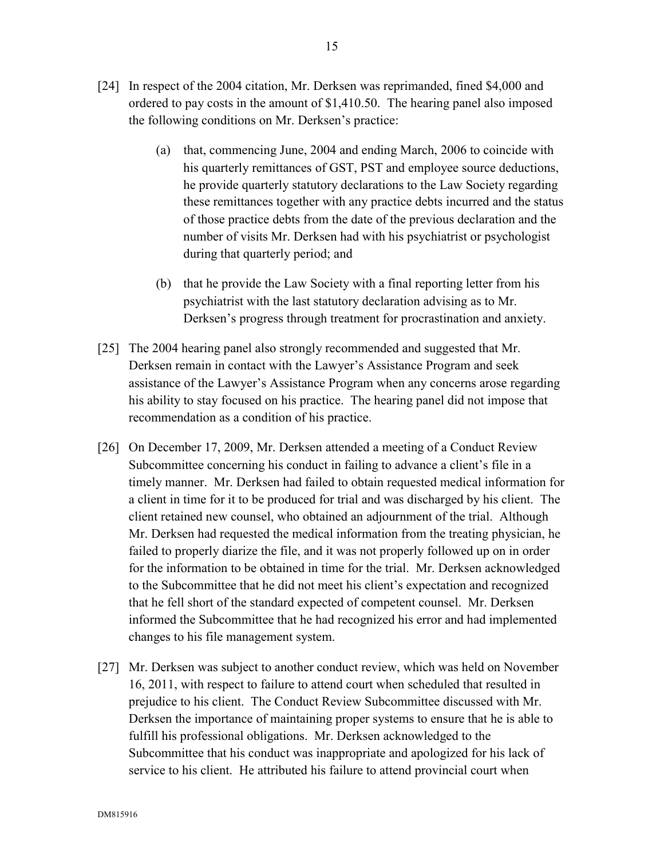- [24] In respect of the 2004 citation, Mr. Derksen was reprimanded, fined \$4,000 and ordered to pay costs in the amount of \$1,410.50. The hearing panel also imposed the following conditions on Mr. Derksen's practice:
	- (a) that, commencing June, 2004 and ending March, 2006 to coincide with his quarterly remittances of GST, PST and employee source deductions, he provide quarterly statutory declarations to the Law Society regarding these remittances together with any practice debts incurred and the status of those practice debts from the date of the previous declaration and the number of visits Mr. Derksen had with his psychiatrist or psychologist during that quarterly period; and
	- (b) that he provide the Law Society with a final reporting letter from his psychiatrist with the last statutory declaration advising as to Mr. Derksen's progress through treatment for procrastination and anxiety.
- [25] The 2004 hearing panel also strongly recommended and suggested that Mr. Derksen remain in contact with the Lawyer's Assistance Program and seek assistance of the Lawyer's Assistance Program when any concerns arose regarding his ability to stay focused on his practice. The hearing panel did not impose that recommendation as a condition of his practice.
- [26] On December 17, 2009, Mr. Derksen attended a meeting of a Conduct Review Subcommittee concerning his conduct in failing to advance a client's file in a timely manner. Mr. Derksen had failed to obtain requested medical information for a client in time for it to be produced for trial and was discharged by his client. The client retained new counsel, who obtained an adjournment of the trial. Although Mr. Derksen had requested the medical information from the treating physician, he failed to properly diarize the file, and it was not properly followed up on in order for the information to be obtained in time for the trial. Mr. Derksen acknowledged to the Subcommittee that he did not meet his client's expectation and recognized that he fell short of the standard expected of competent counsel. Mr. Derksen informed the Subcommittee that he had recognized his error and had implemented changes to his file management system.
- [27] Mr. Derksen was subject to another conduct review, which was held on November 16, 2011, with respect to failure to attend court when scheduled that resulted in prejudice to his client. The Conduct Review Subcommittee discussed with Mr. Derksen the importance of maintaining proper systems to ensure that he is able to fulfill his professional obligations. Mr. Derksen acknowledged to the Subcommittee that his conduct was inappropriate and apologized for his lack of service to his client. He attributed his failure to attend provincial court when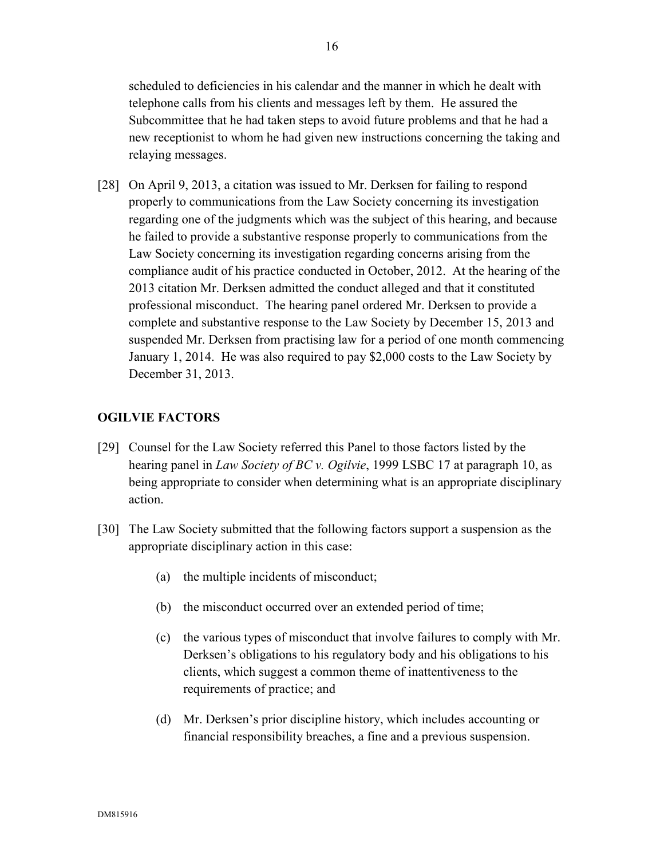scheduled to deficiencies in his calendar and the manner in which he dealt with telephone calls from his clients and messages left by them. He assured the Subcommittee that he had taken steps to avoid future problems and that he had a new receptionist to whom he had given new instructions concerning the taking and relaying messages.

[28] On April 9, 2013, a citation was issued to Mr. Derksen for failing to respond properly to communications from the Law Society concerning its investigation regarding one of the judgments which was the subject of this hearing, and because he failed to provide a substantive response properly to communications from the Law Society concerning its investigation regarding concerns arising from the compliance audit of his practice conducted in October, 2012. At the hearing of the 2013 citation Mr. Derksen admitted the conduct alleged and that it constituted professional misconduct. The hearing panel ordered Mr. Derksen to provide a complete and substantive response to the Law Society by December 15, 2013 and suspended Mr. Derksen from practising law for a period of one month commencing January 1, 2014. He was also required to pay \$2,000 costs to the Law Society by December 31, 2013.

# **OGILVIE FACTORS**

- [29] Counsel for the Law Society referred this Panel to those factors listed by the hearing panel in *Law Society of BC v. Ogilvie*, 1999 LSBC 17 at paragraph 10, as being appropriate to consider when determining what is an appropriate disciplinary action.
- [30] The Law Society submitted that the following factors support a suspension as the appropriate disciplinary action in this case:
	- (a) the multiple incidents of misconduct;
	- (b) the misconduct occurred over an extended period of time;
	- (c) the various types of misconduct that involve failures to comply with Mr. Derksen's obligations to his regulatory body and his obligations to his clients, which suggest a common theme of inattentiveness to the requirements of practice; and
	- (d) Mr. Derksen's prior discipline history, which includes accounting or financial responsibility breaches, a fine and a previous suspension.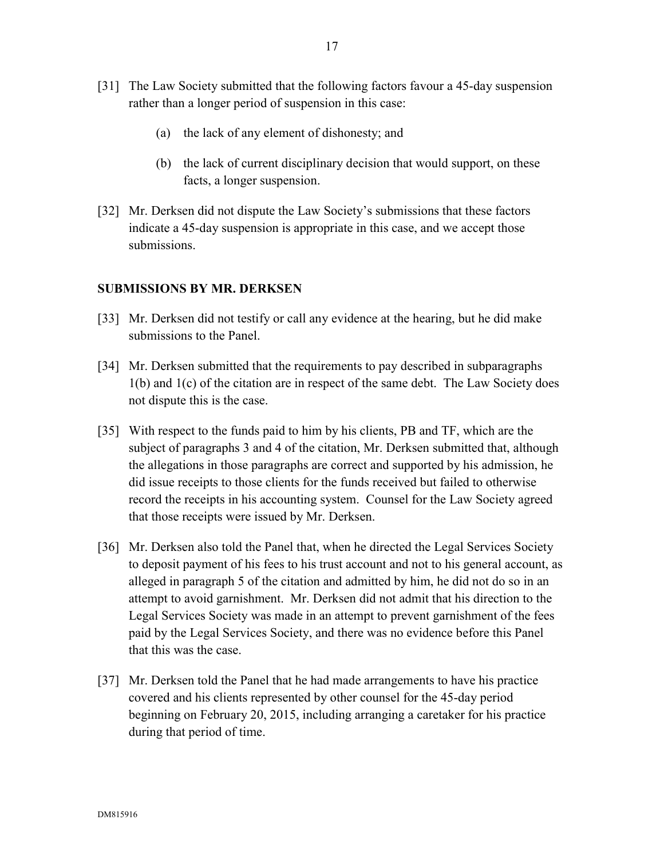- [31] The Law Society submitted that the following factors favour a 45-day suspension rather than a longer period of suspension in this case:
	- (a) the lack of any element of dishonesty; and
	- (b) the lack of current disciplinary decision that would support, on these facts, a longer suspension.
- [32] Mr. Derksen did not dispute the Law Society's submissions that these factors indicate a 45-day suspension is appropriate in this case, and we accept those submissions.

### **SUBMISSIONS BY MR. DERKSEN**

- [33] Mr. Derksen did not testify or call any evidence at the hearing, but he did make submissions to the Panel.
- [34] Mr. Derksen submitted that the requirements to pay described in subparagraphs 1(b) and 1(c) of the citation are in respect of the same debt. The Law Society does not dispute this is the case.
- [35] With respect to the funds paid to him by his clients, PB and TF, which are the subject of paragraphs 3 and 4 of the citation, Mr. Derksen submitted that, although the allegations in those paragraphs are correct and supported by his admission, he did issue receipts to those clients for the funds received but failed to otherwise record the receipts in his accounting system. Counsel for the Law Society agreed that those receipts were issued by Mr. Derksen.
- [36] Mr. Derksen also told the Panel that, when he directed the Legal Services Society to deposit payment of his fees to his trust account and not to his general account, as alleged in paragraph 5 of the citation and admitted by him, he did not do so in an attempt to avoid garnishment. Mr. Derksen did not admit that his direction to the Legal Services Society was made in an attempt to prevent garnishment of the fees paid by the Legal Services Society, and there was no evidence before this Panel that this was the case.
- [37] Mr. Derksen told the Panel that he had made arrangements to have his practice covered and his clients represented by other counsel for the 45-day period beginning on February 20, 2015, including arranging a caretaker for his practice during that period of time.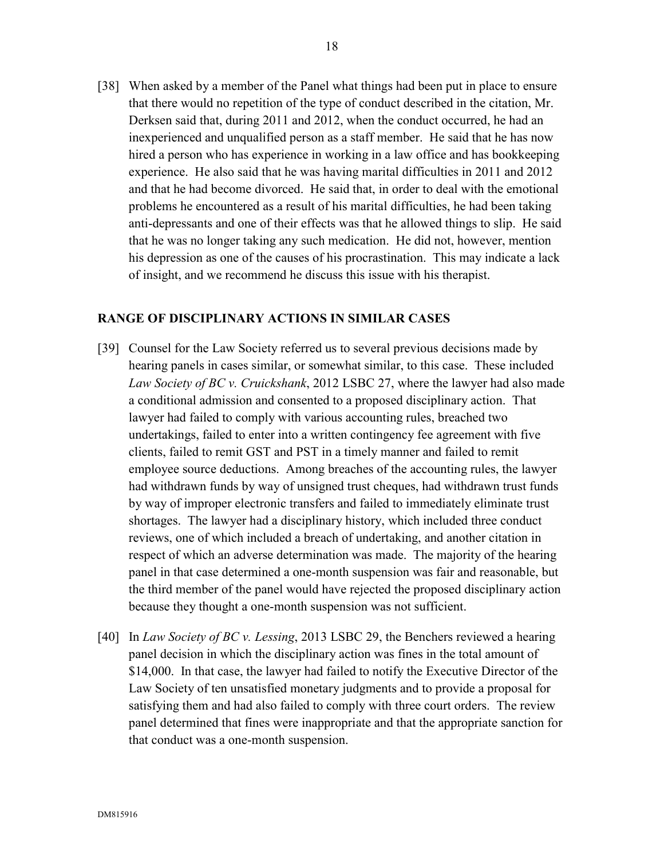[38] When asked by a member of the Panel what things had been put in place to ensure that there would no repetition of the type of conduct described in the citation, Mr. Derksen said that, during 2011 and 2012, when the conduct occurred, he had an inexperienced and unqualified person as a staff member. He said that he has now hired a person who has experience in working in a law office and has bookkeeping experience. He also said that he was having marital difficulties in 2011 and 2012 and that he had become divorced. He said that, in order to deal with the emotional problems he encountered as a result of his marital difficulties, he had been taking anti-depressants and one of their effects was that he allowed things to slip. He said that he was no longer taking any such medication. He did not, however, mention his depression as one of the causes of his procrastination. This may indicate a lack of insight, and we recommend he discuss this issue with his therapist.

### **RANGE OF DISCIPLINARY ACTIONS IN SIMILAR CASES**

- [39] Counsel for the Law Society referred us to several previous decisions made by hearing panels in cases similar, or somewhat similar, to this case. These included *Law Society of BC v. Cruickshank*, 2012 LSBC 27, where the lawyer had also made a conditional admission and consented to a proposed disciplinary action. That lawyer had failed to comply with various accounting rules, breached two undertakings, failed to enter into a written contingency fee agreement with five clients, failed to remit GST and PST in a timely manner and failed to remit employee source deductions. Among breaches of the accounting rules, the lawyer had withdrawn funds by way of unsigned trust cheques, had withdrawn trust funds by way of improper electronic transfers and failed to immediately eliminate trust shortages. The lawyer had a disciplinary history, which included three conduct reviews, one of which included a breach of undertaking, and another citation in respect of which an adverse determination was made. The majority of the hearing panel in that case determined a one-month suspension was fair and reasonable, but the third member of the panel would have rejected the proposed disciplinary action because they thought a one-month suspension was not sufficient.
- [40] In *Law Society of BC v. Lessing*, 2013 LSBC 29, the Benchers reviewed a hearing panel decision in which the disciplinary action was fines in the total amount of \$14,000. In that case, the lawyer had failed to notify the Executive Director of the Law Society of ten unsatisfied monetary judgments and to provide a proposal for satisfying them and had also failed to comply with three court orders. The review panel determined that fines were inappropriate and that the appropriate sanction for that conduct was a one-month suspension.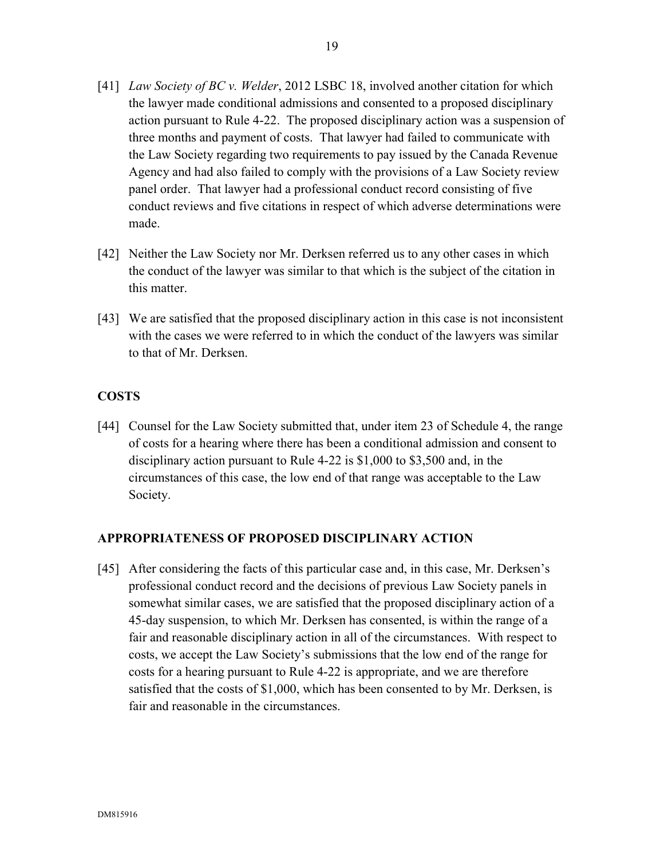- [41] *Law Society of BC v. Welder*, 2012 LSBC 18, involved another citation for which the lawyer made conditional admissions and consented to a proposed disciplinary action pursuant to Rule 4-22. The proposed disciplinary action was a suspension of three months and payment of costs. That lawyer had failed to communicate with the Law Society regarding two requirements to pay issued by the Canada Revenue Agency and had also failed to comply with the provisions of a Law Society review panel order. That lawyer had a professional conduct record consisting of five conduct reviews and five citations in respect of which adverse determinations were made.
- [42] Neither the Law Society nor Mr. Derksen referred us to any other cases in which the conduct of the lawyer was similar to that which is the subject of the citation in this matter.
- [43] We are satisfied that the proposed disciplinary action in this case is not inconsistent with the cases we were referred to in which the conduct of the lawyers was similar to that of Mr. Derksen.

# **COSTS**

[44] Counsel for the Law Society submitted that, under item 23 of Schedule 4, the range of costs for a hearing where there has been a conditional admission and consent to disciplinary action pursuant to Rule 4-22 is \$1,000 to \$3,500 and, in the circumstances of this case, the low end of that range was acceptable to the Law Society.

## **APPROPRIATENESS OF PROPOSED DISCIPLINARY ACTION**

[45] After considering the facts of this particular case and, in this case, Mr. Derksen's professional conduct record and the decisions of previous Law Society panels in somewhat similar cases, we are satisfied that the proposed disciplinary action of a 45-day suspension, to which Mr. Derksen has consented, is within the range of a fair and reasonable disciplinary action in all of the circumstances. With respect to costs, we accept the Law Society's submissions that the low end of the range for costs for a hearing pursuant to Rule 4-22 is appropriate, and we are therefore satisfied that the costs of \$1,000, which has been consented to by Mr. Derksen, is fair and reasonable in the circumstances.